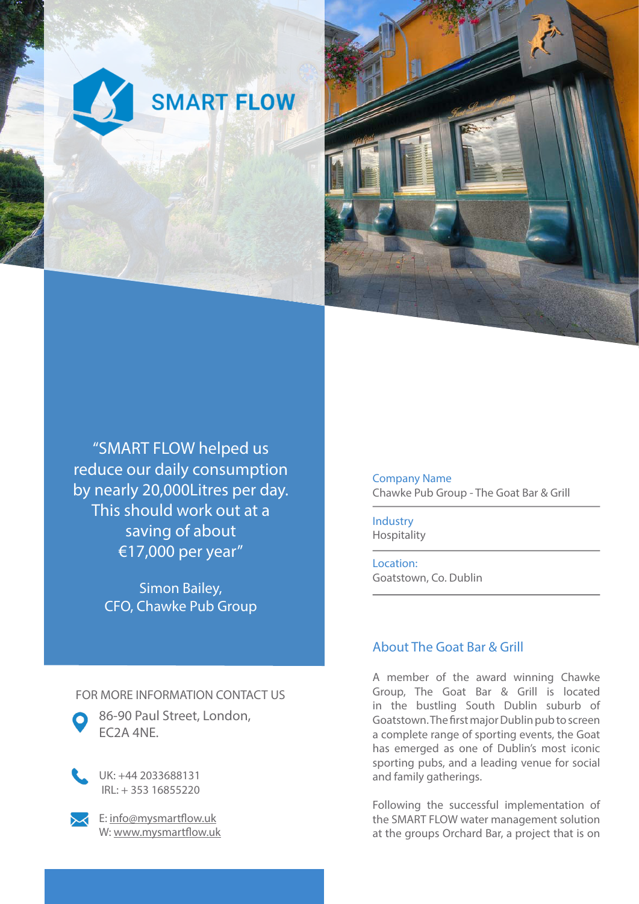



"SMART FLOW helped us reduce our daily consumption by nearly 20,000Litres per day. This should work out at a saving of about €17,000 per year"

> Simon Bailey, CFO, Chawke Pub Group

Company Name Chawke Pub Group - The Goat Bar & Grill

Industry Hospitality

Location: Goatstown, Co. Dublin

## About The Goat Bar & Grill

A member of the award winning Chawke Group, The Goat Bar & Grill is located in the bustling South Dublin suburb of Goatstown. The first major Dublin pub to screen a complete range of sporting events, the Goat has emerged as one of Dublin's most iconic sporting pubs, and a leading venue for social and family gatherings.

Following the successful implementation of the SMART FLOW water management solution at the groups Orchard Bar, a project that is on

FOR MORE INFORMATION CONTACT US



86-90 Paul Street, London, EC2A 4NE.



UK: +44 2033688131 IRL: + 353 16855220



 $\leq$  E: info@mysmartflow.uk W: www.mysmartflow.uk